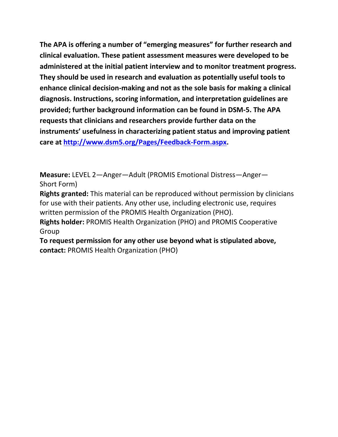**The APA is offering a number of "emerging measures" for further research and clinical evaluation. These patient assessment measures were developed to be administered at the initial patient interview and to monitor treatment progress. They should be used in research and evaluation as potentially useful tools to enhance clinical decision-making and not as the sole basis for making a clinical diagnosis. Instructions, scoring information, and interpretation guidelines are provided; further background information can be found in DSM-5. The APA requests that clinicians and researchers provide further data on the instruments' usefulness in characterizing patient status and improving patient care at [http://www.dsm5.org/Pages/Feedback-Form.aspx.](http://www.dsm5.org/Pages/Feedback-Form.aspx)**

**Measure:** LEVEL 2—Anger—Adult (PROMIS Emotional Distress—Anger— Short Form)

**Rights granted:** This material can be reproduced without permission by clinicians for use with their patients. Any other use, including electronic use, requires written permission of the PROMIS Health Organization (PHO).

**Rights holder:** PROMIS Health Organization (PHO) and PROMIS Cooperative Group

**To request permission for any other use beyond what is stipulated above, contact:** PROMIS Health Organization (PHO)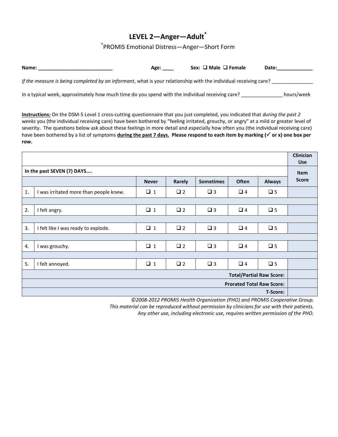# **LEVEL 2—Anger—Adult\***

## \* PROMIS Emotional Distress—Anger—Short Form

| Name:                                                                                                            | Age: | Sex: $\Box$ Male $\Box$ Female | Date: |
|------------------------------------------------------------------------------------------------------------------|------|--------------------------------|-------|
| If the measure is being completed by an informant, what is your relationship with the individual receiving care? |      |                                |       |

In a typical week, approximately how much time do you spend with the individual receiving care? \_\_\_\_\_\_\_\_\_\_\_\_\_\_\_ hours/week

**Instructions:** On the DSM-5 Level 1 cross-cutting questionnaire that you just completed, you indicated that *during the past 2 weeks* you (the individual receiving care) have been bothered by "feeling irritated, grouchy, or angry" at a mild or greater level of severity. The questions below ask about these feelings in more detail and especially how often you (the individual receiving care) have been bothered by a list of symptoms **during the past 7 days. Please respond to each item by marking ( or x) one box per row.** 

|                                  |                                        |              |             |                  | <b>Clinician</b><br><b>Use</b> |               |              |
|----------------------------------|----------------------------------------|--------------|-------------|------------------|--------------------------------|---------------|--------------|
| In the past SEVEN (7) DAYS       |                                        |              |             |                  |                                | <b>Item</b>   |              |
|                                  |                                        | <b>Never</b> | Rarely      | <b>Sometimes</b> | <b>Often</b>                   | <b>Always</b> | <b>Score</b> |
| 1.                               | I was irritated more than people knew. | $\Box$ 1     | $\square$ 2 | $\Box$ 3         | $\Box$ 4                       | $\square$ 5   |              |
|                                  |                                        |              |             |                  |                                |               |              |
| 2.                               | I felt angry.                          | $\Box$ 1     | $\Box$ 2    | $\square$ 3      | $\Box$ 4                       | $\square$ 5   |              |
|                                  |                                        |              |             |                  |                                |               |              |
| 3.                               | I felt like I was ready to explode.    | $\Box$ 1     | $\square$ 2 | $\Box$ 3         | $\Box$ 4                       | $\Box$ 5      |              |
|                                  |                                        |              |             |                  |                                |               |              |
| 4.                               | I was grouchy.                         | $\Box$ 1     | $\square$ 2 | $\square$ 3      | $\Box$ 4                       | $\square$ 5   |              |
|                                  |                                        |              |             |                  |                                |               |              |
| 5.                               | I felt annoyed.                        | $\Box$ 1     | $\Box$ 2    | $\square$ 3      | $\Box$ 4                       | $\Box$ 5      |              |
| <b>Total/Partial Raw Score:</b>  |                                        |              |             |                  |                                |               |              |
| <b>Prorated Total Raw Score:</b> |                                        |              |             |                  |                                |               |              |
| T-Score:                         |                                        |              |             |                  |                                |               |              |

*©2008-2012 PROMIS Health Organization (PHO) and PROMIS Cooperative Group.* 

*This material can be reproduced without permission by clinicians for use with their patients.*

*Any other use, including electronic use, requires written permission of the PHO.*